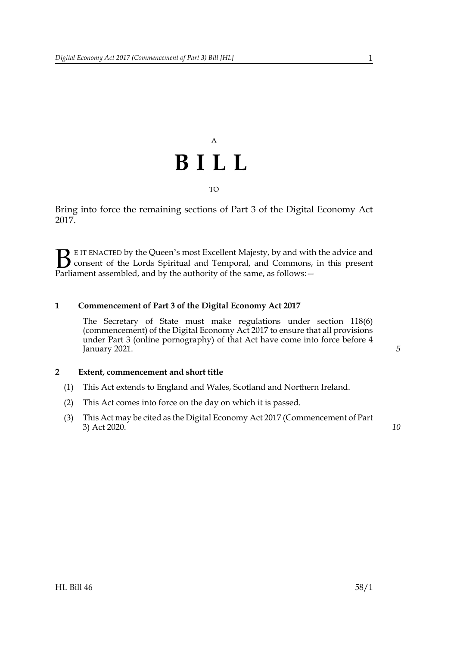## A **BILL** TO

Bring into force the remaining sections of Part 3 of the Digital Economy Act 2017.

E IT ENACTED by the Queen's most Excellent Majesty, by and with the advice and consent of the Lords Spiritual and Temporal, and Commons, in this present **B** E IT ENACTED by the Queen's most Excellent Majesty, by and with consent of the Lords Spiritual and Temporal, and Commons, Parliament assembled, and by the authority of the same, as follows:  $-$ 

#### **1 Commencement of Part 3 of the Digital Economy Act 2017**

The Secretary of State must make regulations under section 118(6) (commencement) of the Digital Economy Act 2017 to ensure that all provisions under Part 3 (online pornography) of that Act have come into force before 4 January 2021.

#### **2 Extent, commencement and short title**

- (1) This Act extends to England and Wales, Scotland and Northern Ireland.
- (2) This Act comes into force on the day on which it is passed.
- (3) This Act may be cited as the Digital Economy Act 2017 (Commencement of Part 3) Act 2020.

*10*

*5*